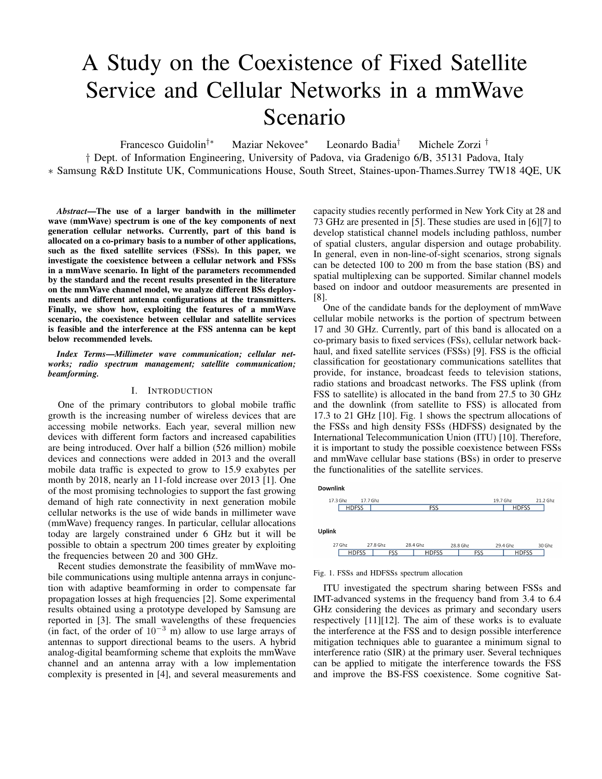# A Study on the Coexistence of Fixed Satellite Service and Cellular Networks in a mmWave Scenario

Francesco Guidolin†∗ Maziar Nekovee<sup>∗</sup> Leonardo Badia† Michele Zorzi †

† Dept. of Information Engineering, University of Padova, via Gradenigo 6/B, 35131 Padova, Italy ∗ Samsung R&D Institute UK, Communications House, South Street, Staines-upon-Thames.Surrey TW18 4QE, UK

*Abstract*—The use of a larger bandwith in the millimeter wave (mmWave) spectrum is one of the key components of next generation cellular networks. Currently, part of this band is allocated on a co-primary basis to a number of other applications, such as the fixed satellite services (FSSs). In this paper, we investigate the coexistence between a cellular network and FSSs in a mmWave scenario. In light of the parameters recommended by the standard and the recent results presented in the literature on the mmWave channel model, we analyze different BSs deployments and different antenna configurations at the transmitters. Finally, we show how, exploiting the features of a mmWave scenario, the coexistence between cellular and satellite services is feasible and the interference at the FSS antenna can be kept below recommended levels.

*Index Terms*—*Millimeter wave communication; cellular networks; radio spectrum management; satellite communication; beamforming.*

## I. INTRODUCTION

One of the primary contributors to global mobile traffic growth is the increasing number of wireless devices that are accessing mobile networks. Each year, several million new devices with different form factors and increased capabilities are being introduced. Over half a billion (526 million) mobile devices and connections were added in 2013 and the overall mobile data traffic is expected to grow to 15.9 exabytes per month by 2018, nearly an 11-fold increase over 2013 [1]. One of the most promising technologies to support the fast growing demand of high rate connectivity in next generation mobile cellular networks is the use of wide bands in millimeter wave (mmWave) frequency ranges. In particular, cellular allocations today are largely constrained under 6 GHz but it will be possible to obtain a spectrum 200 times greater by exploiting the frequencies between 20 and 300 GHz.

Recent studies demonstrate the feasibility of mmWave mobile communications using multiple antenna arrays in conjunction with adaptive beamforming in order to compensate far propagation losses at high frequencies [2]. Some experimental results obtained using a prototype developed by Samsung are reported in [3]. The small wavelengths of these frequencies (in fact, of the order of  $10^{-3}$  m) allow to use large arrays of antennas to support directional beams to the users. A hybrid analog-digital beamforming scheme that exploits the mmWave channel and an antenna array with a low implementation complexity is presented in [4], and several measurements and capacity studies recently performed in New York City at 28 and 73 GHz are presented in [5]. These studies are used in [6][7] to develop statistical channel models including pathloss, number of spatial clusters, angular dispersion and outage probability. In general, even in non-line-of-sight scenarios, strong signals can be detected 100 to 200 m from the base station (BS) and spatial multiplexing can be supported. Similar channel models based on indoor and outdoor measurements are presented in [8].

One of the candidate bands for the deployment of mmWave cellular mobile networks is the portion of spectrum between 17 and 30 GHz. Currently, part of this band is allocated on a co-primary basis to fixed services (FSs), cellular network backhaul, and fixed satellite services (FSSs) [9]. FSS is the official classification for geostationary communications satellites that provide, for instance, broadcast feeds to television stations, radio stations and broadcast networks. The FSS uplink (from FSS to satellite) is allocated in the band from 27.5 to 30 GHz and the downlink (from satellite to FSS) is allocated from 17.3 to 21 GHz [10]. Fig. 1 shows the spectrum allocations of the FSSs and high density FSSs (HDFSS) designated by the International Telecommunication Union (ITU) [10]. Therefore, it is important to study the possible coexistence between FSSs and mmWave cellular base stations (BSs) in order to preserve the functionalities of the satellite services.

Downlink



Fig. 1. FSSs and HDFSSs spectrum allocation

ITU investigated the spectrum sharing between FSSs and IMT-advanced systems in the frequency band from 3.4 to 6.4 GHz considering the devices as primary and secondary users respectively [11][12]. The aim of these works is to evaluate the interference at the FSS and to design possible interference mitigation techniques able to guarantee a minimum signal to interference ratio (SIR) at the primary user. Several techniques can be applied to mitigate the interference towards the FSS and improve the BS-FSS coexistence. Some cognitive Sat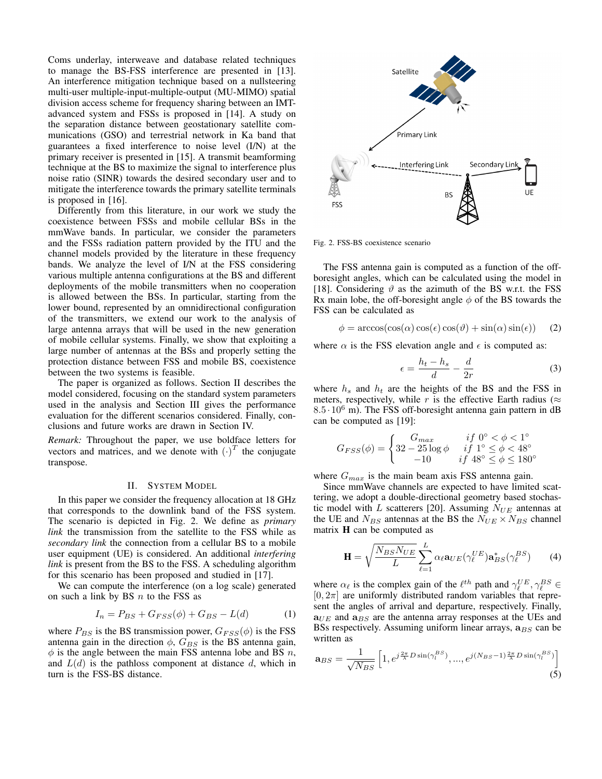Coms underlay, interweave and database related techniques to manage the BS-FSS interference are presented in [13]. An interference mitigation technique based on a nullsteering multi-user multiple-input-multiple-output (MU-MIMO) spatial division access scheme for frequency sharing between an IMTadvanced system and FSSs is proposed in [14]. A study on the separation distance between geostationary satellite communications (GSO) and terrestrial network in Ka band that guarantees a fixed interference to noise level (I/N) at the primary receiver is presented in [15]. A transmit beamforming technique at the BS to maximize the signal to interference plus noise ratio (SINR) towards the desired secondary user and to mitigate the interference towards the primary satellite terminals is proposed in [16].

Differently from this literature, in our work we study the coexistence between FSSs and mobile cellular BSs in the mmWave bands. In particular, we consider the parameters and the FSSs radiation pattern provided by the ITU and the channel models provided by the literature in these frequency bands. We analyze the level of I/N at the FSS considering various multiple antenna configurations at the BS and different deployments of the mobile transmitters when no cooperation is allowed between the BSs. In particular, starting from the lower bound, represented by an omnidirectional configuration of the transmitters, we extend our work to the analysis of large antenna arrays that will be used in the new generation of mobile cellular systems. Finally, we show that exploiting a large number of antennas at the BSs and properly setting the protection distance between FSS and mobile BS, coexistence between the two systems is feasible.

The paper is organized as follows. Section II describes the model considered, focusing on the standard system parameters used in the analysis and Section III gives the performance evaluation for the different scenarios considered. Finally, conclusions and future works are drawn in Section IV.

*Remark:* Throughout the paper, we use boldface letters for vectors and matrices, and we denote with  $(\cdot)^T$  the conjugate transpose.

#### II. SYSTEM MODEL

In this paper we consider the frequency allocation at 18 GHz that corresponds to the downlink band of the FSS system. The scenario is depicted in Fig. 2. We define as *primary link* the transmission from the satellite to the FSS while as *secondary link* the connection from a cellular BS to a mobile user equipment (UE) is considered. An additional *interfering link* is present from the BS to the FSS. A scheduling algorithm for this scenario has been proposed and studied in [17].

We can compute the interference (on a log scale) generated on such a link by BS  $n$  to the FSS as

$$
I_n = P_{BS} + G_{FSS}(\phi) + G_{BS} - L(d) \tag{1}
$$

where  $P_{BS}$  is the BS transmission power,  $G_{FSS}(\phi)$  is the FSS antenna gain in the direction  $\phi$ ,  $G_{BS}$  is the BS antenna gain,  $\phi$  is the angle between the main FSS antenna lobe and BS n, and  $L(d)$  is the pathloss component at distance  $d$ , which in turn is the FSS-BS distance.



Fig. 2. FSS-BS coexistence scenario

The FSS antenna gain is computed as a function of the offboresight angles, which can be calculated using the model in [18]. Considering  $\vartheta$  as the azimuth of the BS w.r.t. the FSS Rx main lobe, the off-boresight angle  $\phi$  of the BS towards the FSS can be calculated as

$$
\phi = \arccos(\cos(\alpha)\cos(\epsilon)\cos(\vartheta) + \sin(\alpha)\sin(\epsilon)) \quad (2)
$$

where  $\alpha$  is the FSS elevation angle and  $\epsilon$  is computed as:

$$
\epsilon = \frac{h_t - h_s}{d} - \frac{d}{2r} \tag{3}
$$

where  $h_s$  and  $h_t$  are the heights of the BS and the FSS in meters, respectively, while r is the effective Earth radius ( $\approx$  $8.5 \cdot 10^6$  m). The FSS off-boresight antenna gain pattern in dB can be computed as [19]:

$$
G_{FSS}(\phi) = \begin{cases} G_{max} & if \ 0^{\circ} < \phi < 1^{\circ} \\ 32 - 25 \log \phi & if \ 1^{\circ} \le \phi < 48^{\circ} \\ -10 & if \ 48^{\circ} \le \phi \le 180^{\circ} \end{cases}
$$

where  $G_{max}$  is the main beam axis FSS antenna gain.

Since mmWave channels are expected to have limited scattering, we adopt a double-directional geometry based stochastic model with L scatterers [20]. Assuming  $N_{UE}$  antennas at the UE and  $N_{BS}$  antennas at the BS the  $N_{UE} \times N_{BS}$  channel matrix H can be computed as

$$
\mathbf{H} = \sqrt{\frac{N_{BS}N_{UE}}{L}} \sum_{\ell=1}^{L} \alpha_{\ell} \mathbf{a}_{UE} (\gamma_{\ell}^{UE}) \mathbf{a}_{BS}^{*} (\gamma_{\ell}^{BS})
$$
(4)

where  $\alpha_{\ell}$  is the complex gain of the  $\ell^{th}$  path and  $\gamma_{\ell}^{UE}, \gamma_{\ell}^{BS} \in$  $[0, 2\pi]$  are uniformly distributed random variables that represent the angles of arrival and departure, respectively. Finally,  $a_{UE}$  and  $a_{BS}$  are the antenna array responses at the UEs and BSs respectively. Assuming uniform linear arrays,  $a_{BS}$  can be written as

$$
\mathbf{a}_{BS} = \frac{1}{\sqrt{N_{BS}}} \left[ 1, e^{j\frac{2\pi}{\lambda}D\sin(\gamma_l^{BS})}, ..., e^{j(N_{BS}-1)\frac{2\pi}{\lambda}D\sin(\gamma_l^{BS})} \right]
$$
(5)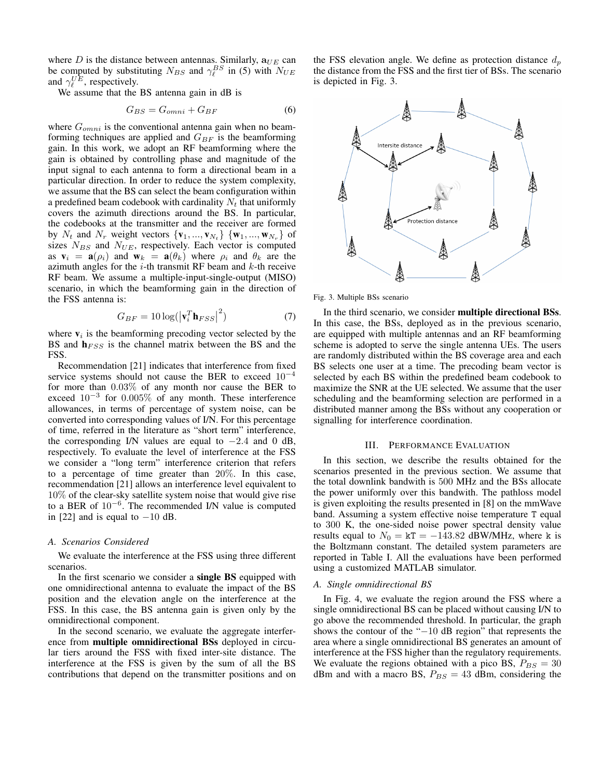where  $D$  is the distance between antennas. Similarly,  $a_{UE}$  can be computed by substituting  $N_{BS}$  and  $\gamma_{\ell}^{BS}$  in (5) with  $N_{UE}$ and  $\gamma_{\ell}^{UE}$ , respectively.

We assume that the BS antenna gain in dB is

$$
G_{BS} = G_{omni} + G_{BF} \tag{6}
$$

where  $G_{omni}$  is the conventional antenna gain when no beamforming techniques are applied and  $G_{BF}$  is the beamforming gain. In this work, we adopt an RF beamforming where the gain is obtained by controlling phase and magnitude of the input signal to each antenna to form a directional beam in a particular direction. In order to reduce the system complexity, we assume that the BS can select the beam configuration within a predefined beam codebook with cardinality  $N_t$  that uniformly covers the azimuth directions around the BS. In particular, the codebooks at the transmitter and the receiver are formed by  $N_t$  and  $N_r$  weight vectors  $\{v_1, ..., v_{N_t}\}\{w_1, ..., w_{N_r}\}\$  of sizes  $N_{BS}$  and  $N_{UE}$ , respectively. Each vector is computed as  $\mathbf{v}_i = \mathbf{a}(\rho_i)$  and  $\mathbf{w}_k = \mathbf{a}(\theta_k)$  where  $\rho_i$  and  $\theta_k$  are the azimuth angles for the  $i$ -th transmit RF beam and  $k$ -th receive RF beam. We assume a multiple-input-single-output (MISO) scenario, in which the beamforming gain in the direction of the FSS antenna is:

$$
G_{BF} = 10\log(\left|\mathbf{v}_i^T \mathbf{h}_{FSS}\right|^2) \tag{7}
$$

where  $v_i$  is the beamforming precoding vector selected by the BS and  $h_{FSS}$  is the channel matrix between the BS and the FSS.

Recommendation [21] indicates that interference from fixed service systems should not cause the BER to exceed  $10^{-4}$ for more than 0.03% of any month nor cause the BER to exceed  $10^{-3}$  for 0.005% of any month. These interference allowances, in terms of percentage of system noise, can be converted into corresponding values of I/N. For this percentage of time, referred in the literature as "short term" interference, the corresponding I/N values are equal to  $-2.4$  and 0 dB, respectively. To evaluate the level of interference at the FSS we consider a "long term" interference criterion that refers to a percentage of time greater than 20%. In this case, recommendation [21] allows an interference level equivalent to 10% of the clear-sky satellite system noise that would give rise to a BER of 10<sup>−</sup><sup>6</sup> . The recommended I/N value is computed in [22] and is equal to  $-10$  dB.

#### *A. Scenarios Considered*

We evaluate the interference at the FSS using three different scenarios.

In the first scenario we consider a single BS equipped with one omnidirectional antenna to evaluate the impact of the BS position and the elevation angle on the interference at the FSS. In this case, the BS antenna gain is given only by the omnidirectional component.

In the second scenario, we evaluate the aggregate interference from multiple omnidirectional BSs deployed in circular tiers around the FSS with fixed inter-site distance. The interference at the FSS is given by the sum of all the BS contributions that depend on the transmitter positions and on the FSS elevation angle. We define as protection distance  $d_n$ the distance from the FSS and the first tier of BSs. The scenario is depicted in Fig. 3.



Fig. 3. Multiple BSs scenario

In the third scenario, we consider multiple directional BSs. In this case, the BSs, deployed as in the previous scenario, are equipped with multiple antennas and an RF beamforming scheme is adopted to serve the single antenna UEs. The users are randomly distributed within the BS coverage area and each BS selects one user at a time. The precoding beam vector is selected by each BS within the predefined beam codebook to maximize the SNR at the UE selected. We assume that the user scheduling and the beamforming selection are performed in a distributed manner among the BSs without any cooperation or signalling for interference coordination.

#### III. PERFORMANCE EVALUATION

In this section, we describe the results obtained for the scenarios presented in the previous section. We assume that the total downlink bandwith is 500 MHz and the BSs allocate the power uniformly over this bandwith. The pathloss model is given exploiting the results presented in [8] on the mmWave band. Assuming a system effective noise temperature T equal to 300 K, the one-sided noise power spectral density value results equal to  $N_0 = kT = -143.82$  dBW/MHz, where k is the Boltzmann constant. The detailed system parameters are reported in Table I. All the evaluations have been performed using a customized MATLAB simulator.

#### *A. Single omnidirectional BS*

In Fig. 4, we evaluate the region around the FSS where a single omnidirectional BS can be placed without causing I/N to go above the recommended threshold. In particular, the graph shows the contour of the "−10 dB region" that represents the area where a single omnidirectional BS generates an amount of interference at the FSS higher than the regulatory requirements. We evaluate the regions obtained with a pico BS,  $P_{BS} = 30$ dBm and with a macro BS,  $P_{BS} = 43$  dBm, considering the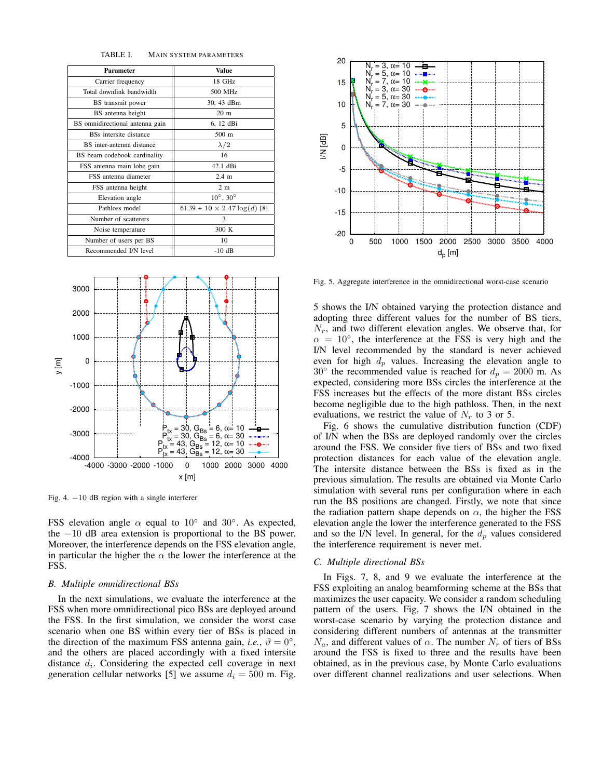TABLE I. MAIN SYSTEM PARAMETERS

| Parameter                       | <b>Value</b>                         |
|---------------------------------|--------------------------------------|
| Carrier frequency               | 18 GHz                               |
| Total downlink bandwidth        | 500 MHz                              |
| BS transmit power               | 30, 43 dBm                           |
| BS antenna height               | 20 <sub>m</sub>                      |
| BS omnidirectional antenna gain | 6, 12 dBi                            |
| BSs intersite distance          | $500 \text{ m}$                      |
| BS inter-antenna distance       | $\lambda/2$                          |
| BS beam codebook cardinality    | 16                                   |
| FSS antenna main lobe gain      | 42.1 dBi                             |
| ESS antenna diameter            | 2.4 <sub>m</sub>                     |
| FSS antenna height              | 2 <sub>m</sub>                       |
| Elevation angle                 | $10^{\circ}$ , $30^{\circ}$          |
| Pathloss model                  | $61.39 + 10 \times 2.47 \log(d)$ [8] |
| Number of scatterers            | 3                                    |
| Noise temperature               | 300 K                                |
| Number of users per BS          | 10                                   |
| Recommended I/N level           | $-10$ dB                             |



Fig. 4. −10 dB region with a single interferer

FSS elevation angle  $\alpha$  equal to 10° and 30°. As expected, the −10 dB area extension is proportional to the BS power. Moreover, the interference depends on the FSS elevation angle, in particular the higher the  $\alpha$  the lower the interference at the FSS.

### *B. Multiple omnidirectional BSs*

In the next simulations, we evaluate the interference at the FSS when more omnidirectional pico BSs are deployed around the FSS. In the first simulation, we consider the worst case scenario when one BS within every tier of BSs is placed in the direction of the maximum FSS antenna gain, *i.e.*,  $\vartheta = 0^{\circ}$ , and the others are placed accordingly with a fixed intersite distance  $d_i$ . Considering the expected cell coverage in next generation cellular networks [5] we assume  $d_i = 500$  m. Fig.



Fig. 5. Aggregate interference in the omnidirectional worst-case scenario

5 shows the I/N obtained varying the protection distance and adopting three different values for the number of BS tiers,  $N_r$ , and two different elevation angles. We observe that, for  $\alpha = 10^{\circ}$ , the interference at the FSS is very high and the I/N level recommended by the standard is never achieved even for high  $d_p$  values. Increasing the elevation angle to 30 $\degree$  the recommended value is reached for  $d_p = 2000$  m. As expected, considering more BSs circles the interference at the FSS increases but the effects of the more distant BSs circles become negligible due to the high pathloss. Then, in the next evaluations, we restrict the value of  $N_r$  to 3 or 5.

Fig. 6 shows the cumulative distribution function (CDF) of I/N when the BSs are deployed randomly over the circles around the FSS. We consider five tiers of BSs and two fixed protection distances for each value of the elevation angle. The intersite distance between the BSs is fixed as in the previous simulation. The results are obtained via Monte Carlo simulation with several runs per configuration where in each run the BS positions are changed. Firstly, we note that since the radiation pattern shape depends on  $\alpha$ , the higher the FSS elevation angle the lower the interference generated to the FSS and so the I/N level. In general, for the  $d_p$  values considered the interference requirement is never met.

#### *C. Multiple directional BSs*

In Figs. 7, 8, and 9 we evaluate the interference at the FSS exploiting an analog beamforming scheme at the BSs that maximizes the user capacity. We consider a random scheduling pattern of the users. Fig. 7 shows the I/N obtained in the worst-case scenario by varying the protection distance and considering different numbers of antennas at the transmitter  $N_a$ , and different values of  $\alpha$ . The number  $N_r$  of tiers of BSs around the FSS is fixed to three and the results have been obtained, as in the previous case, by Monte Carlo evaluations over different channel realizations and user selections. When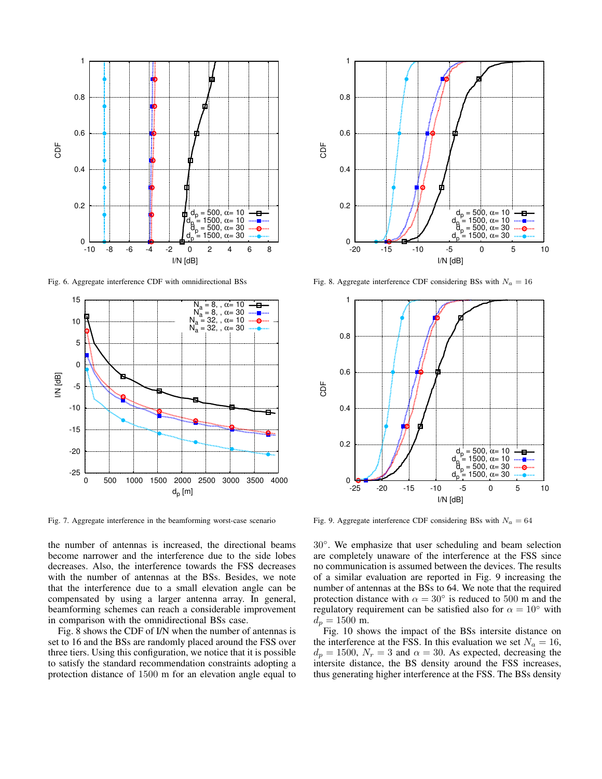

Fig. 6. Aggregate interference CDF with omnidirectional BSs



Fig. 7. Aggregate interference in the beamforming worst-case scenario

the number of antennas is increased, the directional beams become narrower and the interference due to the side lobes decreases. Also, the interference towards the FSS decreases with the number of antennas at the BSs. Besides, we note that the interference due to a small elevation angle can be compensated by using a larger antenna array. In general, beamforming schemes can reach a considerable improvement in comparison with the omnidirectional BSs case.

Fig. 8 shows the CDF of I/N when the number of antennas is set to 16 and the BSs are randomly placed around the FSS over three tiers. Using this configuration, we notice that it is possible to satisfy the standard recommendation constraints adopting a protection distance of 1500 m for an elevation angle equal to



Fig. 8. Aggregate interference CDF considering BSs with  $N_a = 16$ 



Fig. 9. Aggregate interference CDF considering BSs with  $N_a = 64$ 

30◦ . We emphasize that user scheduling and beam selection are completely unaware of the interference at the FSS since no communication is assumed between the devices. The results of a similar evaluation are reported in Fig. 9 increasing the number of antennas at the BSs to 64. We note that the required protection distance with  $\alpha = 30^{\circ}$  is reduced to 500 m and the regulatory requirement can be satisfied also for  $\alpha = 10°$  with  $d_p = 1500$  m.

Fig. 10 shows the impact of the BSs intersite distance on the interference at the FSS. In this evaluation we set  $N_a = 16$ ,  $d_p = 1500$ ,  $N_r = 3$  and  $\alpha = 30$ . As expected, decreasing the intersite distance, the BS density around the FSS increases, thus generating higher interference at the FSS. The BSs density